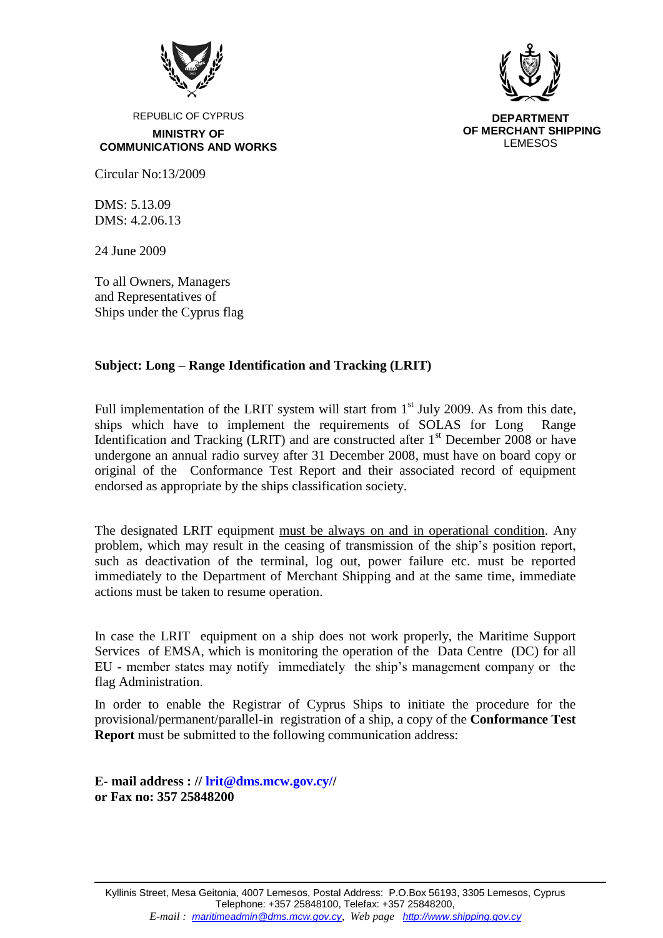



**DEPARTMENT OF MERCHANT SHIPPING** LEMESOS

REPUBLIC OF CYPRUS **MINISTRY OF COMMUNICATIONS AND WORKS**

Circular No:13/2009

 $DMS: 5.13.09$ DMS: 4.2.06.13

24 June 2009

To all Owners, Managers and Representatives of Ships under the Cyprus flag

## **Subject: Long – Range Identification and Tracking (LRIT)**

Full implementation of the LRIT system will start from  $1<sup>st</sup>$  July 2009. As from this date, ships which have to implement the requirements of SOLAS for Long Range Identification and Tracking (LRIT) and are constructed after  $1<sup>st</sup>$  December 2008 or have undergone an annual radio survey after 31 December 2008, must have on board copy or original of the Conformance Test Report and their associated record of equipment endorsed as appropriate by the ships classification society.

The designated LRIT equipment must be always on and in operational condition. Any problem, which may result in the ceasing of transmission of the ship's position report, such as deactivation of the terminal, log out, power failure etc. must be reported immediately to the Department of Merchant Shipping and at the same time, immediate actions must be taken to resume operation.

In case the LRIT equipment on a ship does not work properly, the Maritime Support Services of EMSA, which is monitoring the operation of the Data Centre (DC) for all EU - member states may notify immediately the ship's management company or the flag Administration.

In order to enable the Registrar of Cyprus Ships to initiate the procedure for the provisional/permanent/parallel-in registration of a ship, a copy of the **Conformance Test Report** must be submitted to the following communication address:

**E- mail address : // lrit@dms.mcw.gov.cy// or Fax no: 357 25848200**

Kyllinis Street, Mesa Geitonia, 4007 Lemesos, Postal Address: P.O.Box 56193, 3305 Lemesos, Cyprus Telephone: +357 25848100, Telefax: +357 25848200, *E-mail : maritimeadmin@dms.mcw.gov.cy, Web page http://www.shipping.gov.cy*